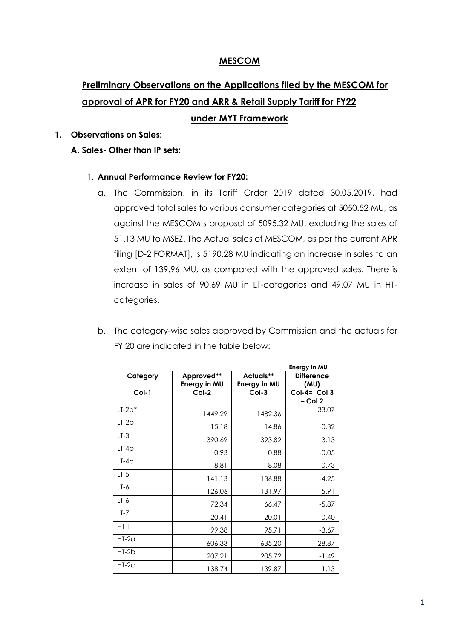### **MESCOM**

# **Preliminary Observations on the Applications filed by the MESCOM for approval of APR for FY20 and ARR & Retail Supply Tariff for FY22 under MYT Framework**

### **1. Observations on Sales:**

### **A. Sales- Other than IP sets:**

- 1. **Annual Performance Review for FY20:**
	- a. The Commission, in its Tariff Order 2019 dated 30.05.2019, had approved total sales to various consumer categories at 5050.52 MU, as against the MESCOM's proposal of 5095.32 MU, excluding the sales of 51.13 MU to MSEZ. The Actual sales of MESCOM, as per the current APR filing [D-2 FORMAT], is 5190.28 MU indicating an increase in sales to an extent of 139.96 MU, as compared with the approved sales. There is increase in sales of 90.69 MU in LT-categories and 49.07 MU in HTcategories.
	- b. The category-wise sales approved by Commission and the actuals for FY 20 are indicated in the table below:

|                     |                                       |                                      | Energy In MU                                            |
|---------------------|---------------------------------------|--------------------------------------|---------------------------------------------------------|
| Category<br>$Col-1$ | Approved**<br>Energy in MU<br>$Col-2$ | Actuals**<br>Energy in MU<br>$Col-3$ | <b>Difference</b><br>(MU)<br>$Col-4= Col3$<br>$-$ Col 2 |
| $LT-2a*$            | 1449.29                               | 1482.36                              | 33.07                                                   |
| $LT-2b$             | 15.18                                 | 14.86                                | $-0.32$                                                 |
| $LT-3$              | 390.69                                | 393.82                               | 3.13                                                    |
| $LT-4b$             | 0.93                                  | 0.88                                 | $-0.05$                                                 |
| $LT-4C$             | 8.81                                  | 8.08                                 | $-0.73$                                                 |
| $LT-5$              | 141.13                                | 136.88                               | $-4.25$                                                 |
| $LT-6$              | 126.06                                | 131.97                               | 5.91                                                    |
| $LT-6$              | 72.34                                 | 66.47                                | $-5.87$                                                 |
| $LT-7$              | 20.41                                 | 20.01                                | $-0.40$                                                 |
| $HT-1$              | 99.38                                 | 95.71                                | $-3.67$                                                 |
| $HT-2a$             | 606.33                                | 635.20                               | 28.87                                                   |
| $HT-2b$             | 207.21                                | 205.72                               | $-1.49$                                                 |
| HT-2c               | 138.74                                | 139.87                               | 1.13                                                    |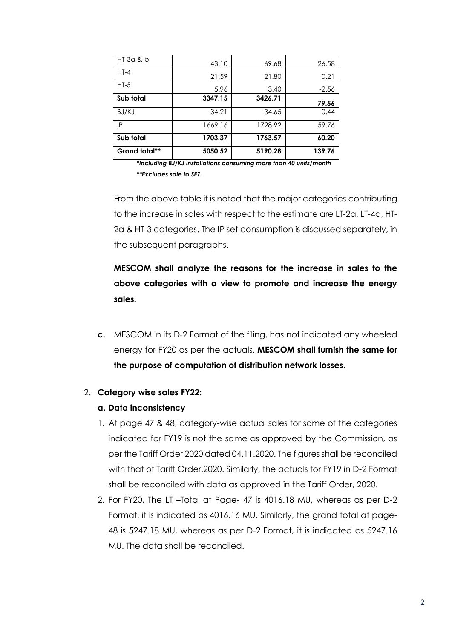| Grand total** | 5050.52 | 5190.28 | 139.76  |
|---------------|---------|---------|---------|
| Sub total     | 1703.37 | 1763.57 | 60.20   |
| IP            | 1669.16 | 1728.92 | 59.76   |
| BJ/KJ         | 34.21   | 34.65   | 0.44    |
| Sub total     | 3347.15 | 3426.71 | 79.56   |
| $HT-5$        | 5.96    | 3.40    | $-2.56$ |
| $HT-4$        | 21.59   | 21.80   | 0.21    |
| $HI-3a$ & b   | 43.10   | 69.68   | 26.58   |

*\*Including BJ/KJ installations consuming more than 40 units/month \*\*Excludes sale to SEZ.*

From the above table it is noted that the major categories contributing to the increase in sales with respect to the estimate are LT-2a, LT-4a, HT-2a & HT-3 categories. The IP set consumption is discussed separately, in the subsequent paragraphs.

**MESCOM shall analyze the reasons for the increase in sales to the above categories with a view to promote and increase the energy sales.**

**c.** MESCOM in its D-2 Format of the filing, has not indicated any wheeled energy for FY20 as per the actuals. **MESCOM shall furnish the same for the purpose of computation of distribution network losses.**

## 2. **Category wise sales FY22:**

### **a. Data inconsistency**

- 1. At page 47 & 48, category-wise actual sales for some of the categories indicated for FY19 is not the same as approved by the Commission, as per the Tariff Order 2020 dated 04.11.2020. The figures shall be reconciled with that of Tariff Order,2020. Similarly, the actuals for FY19 in D-2 Format shall be reconciled with data as approved in the Tariff Order, 2020.
- 2. For FY20, The LT –Total at Page- 47 is 4016.18 MU, whereas as per D-2 Format, it is indicated as 4016.16 MU. Similarly, the grand total at page-48 is 5247.18 MU, whereas as per D-2 Format, it is indicated as 5247.16 MU. The data shall be reconciled.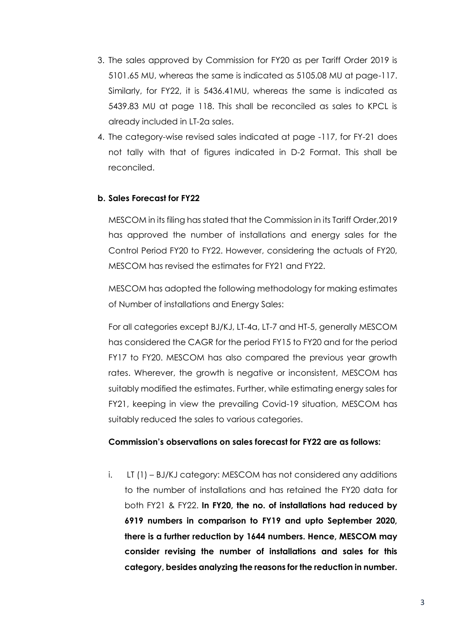- 3. The sales approved by Commission for FY20 as per Tariff Order 2019 is 5101.65 MU, whereas the same is indicated as 5105.08 MU at page-117. Similarly, for FY22, it is 5436.41MU, whereas the same is indicated as 5439.83 MU at page 118. This shall be reconciled as sales to KPCL is already included in LT-2a sales.
- 4. The category-wise revised sales indicated at page -117, for FY-21 does not tally with that of figures indicated in D-2 Format. This shall be reconciled.

### **b. Sales Forecast for FY22**

MESCOM in its filing has stated that the Commission in its Tariff Order,2019 has approved the number of installations and energy sales for the Control Period FY20 to FY22. However, considering the actuals of FY20, MESCOM has revised the estimates for FY21 and FY22.

MESCOM has adopted the following methodology for making estimates of Number of installations and Energy Sales:

For all categories except BJ/KJ, LT-4a, LT-7 and HT-5, generally MESCOM has considered the CAGR for the period FY15 to FY20 and for the period FY17 to FY20. MESCOM has also compared the previous year growth rates. Wherever, the growth is negative or inconsistent, MESCOM has suitably modified the estimates. Further, while estimating energy sales for FY21, keeping in view the prevailing Covid-19 situation, MESCOM has suitably reduced the sales to various categories.

### **Commission's observations on sales forecast for FY22 are as follows:**

i. LT (1) – BJ/KJ category: MESCOM has not considered any additions to the number of installations and has retained the FY20 data for both FY21 & FY22. **In FY20, the no. of installations had reduced by 6919 numbers in comparison to FY19 and upto September 2020, there is a further reduction by 1644 numbers. Hence, MESCOM may consider revising the number of installations and sales for this category, besides analyzing the reasons for the reduction in number.**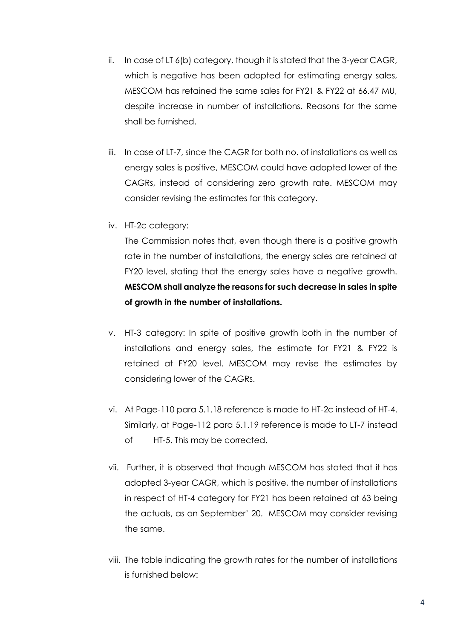- ii. In case of LT 6(b) category, though it is stated that the 3-year CAGR, which is negative has been adopted for estimating energy sales, MESCOM has retained the same sales for FY21 & FY22 at 66.47 MU, despite increase in number of installations. Reasons for the same shall be furnished.
- iii. In case of LT-7, since the CAGR for both no. of installations as well as energy sales is positive, MESCOM could have adopted lower of the CAGRs, instead of considering zero growth rate. MESCOM may consider revising the estimates for this category.
- iv. HT-2c category:

The Commission notes that, even though there is a positive growth rate in the number of installations, the energy sales are retained at FY20 level, stating that the energy sales have a negative growth. **MESCOM shall analyze the reasons for such decrease in sales in spite of growth in the number of installations.**

- v. HT-3 category: In spite of positive growth both in the number of installations and energy sales, the estimate for FY21 & FY22 is retained at FY20 level. MESCOM may revise the estimates by considering lower of the CAGRs.
- vi. At Page-110 para 5.1.18 reference is made to HT-2c instead of HT-4. Similarly, at Page-112 para 5.1.19 reference is made to LT-7 instead of HT-5. This may be corrected.
- vii. Further, it is observed that though MESCOM has stated that it has adopted 3-year CAGR, which is positive, the number of installations in respect of HT-4 category for FY21 has been retained at 63 being the actuals, as on September' 20. MESCOM may consider revising the same.
- viii. The table indicating the growth rates for the number of installations is furnished below: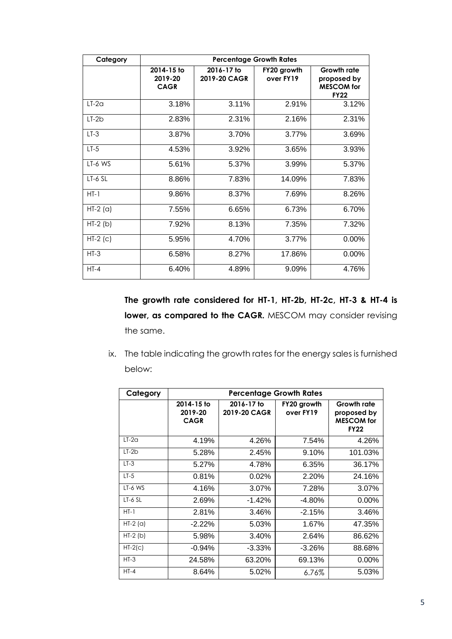| Category   |                                      |                            | <b>Percentage Growth Rates</b> |                                                                       |
|------------|--------------------------------------|----------------------------|--------------------------------|-----------------------------------------------------------------------|
|            | 2014-15 to<br>2019-20<br><b>CAGR</b> | 2016-17 to<br>2019-20 CAGR | FY20 growth<br>over FY19       | <b>Growth rate</b><br>proposed by<br><b>MESCOM</b> for<br><b>FY22</b> |
| $LT-2a$    | 3.18%                                | 3.11%                      | 2.91%                          | 3.12%                                                                 |
| $LT-2b$    | 2.83%                                | 2.31%                      | 2.16%                          | 2.31%                                                                 |
| $LT-3$     | 3.87%                                | 3.70%                      | 3.77%                          | 3.69%                                                                 |
| $LT-5$     | 4.53%                                | 3.92%                      | 3.65%                          | 3.93%                                                                 |
| LT-6 WS    | 5.61%                                | 5.37%                      | 3.99%                          | 5.37%                                                                 |
| $LT-6$ SL  | 8.86%                                | 7.83%                      | 14.09%                         | 7.83%                                                                 |
| $HT-1$     | 9.86%                                | 8.37%                      | 7.69%                          | 8.26%                                                                 |
| $HT-2$ (a) | 7.55%                                | 6.65%                      | 6.73%                          | 6.70%                                                                 |
| $HT-2$ (b) | 7.92%                                | 8.13%                      | 7.35%                          | 7.32%                                                                 |
| $HT-2$ (c) | 5.95%                                | 4.70%                      | 3.77%                          | 0.00%                                                                 |
| $HT-3$     | 6.58%                                | 8.27%                      | 17.86%                         | 0.00%                                                                 |
| $HT-4$     | 6.40%                                | 4.89%                      | 9.09%                          | 4.76%                                                                 |

**The growth rate considered for HT-1, HT-2b, HT-2c, HT-3 & HT-4 is lower, as compared to the CAGR.** MESCOM may consider revising the same.

ix. The table indicating the growth rates for the energy sales is furnished below:

| Category  |                                      | <b>Percentage Growth Rates</b> |                          |                                                                |
|-----------|--------------------------------------|--------------------------------|--------------------------|----------------------------------------------------------------|
|           | 2014-15 to<br>2019-20<br><b>CAGR</b> | 2016-17 to<br>2019-20 CAGR     | FY20 growth<br>over FY19 | Growth rate<br>proposed by<br><b>MESCOM</b> for<br><b>FY22</b> |
| $LT-2a$   | 4.19%                                | 4.26%                          | 7.54%                    | 4.26%                                                          |
| $LT-2b$   | 5.28%                                | 2.45%                          | 9.10%                    | 101.03%                                                        |
| $LT-3$    | 5.27%                                | 4.78%                          | 6.35%                    | 36.17%                                                         |
| $LT-5$    | 0.81%                                | 0.02%                          | 2.20%                    | 24.16%                                                         |
| LT-6 WS   | 4.16%                                | 3.07%                          | 7.28%                    | 3.07%                                                          |
| $LT-6$ SL | 2.69%                                | $-1.42%$                       | $-4.80%$                 | $0.00\%$                                                       |
| $HT-1$    | 2.81%                                | 3.46%                          | $-2.15%$                 | 3.46%                                                          |
| $HT-2(a)$ | $-2.22%$                             | 5.03%                          | 1.67%                    | 47.35%                                                         |
| $HT-2(b)$ | 5.98%                                | 3.40%                          | 2.64%                    | 86.62%                                                         |
| $HT-2(c)$ | $-0.94%$                             | $-3.33%$                       | $-3.26%$                 | 88.68%                                                         |
| $HT-3$    | 24.58%                               | 63.20%                         | 69.13%                   | $0.00\%$                                                       |
| $HT-4$    | 8.64%                                | 5.02%                          | $6.76\%$                 | 5.03%                                                          |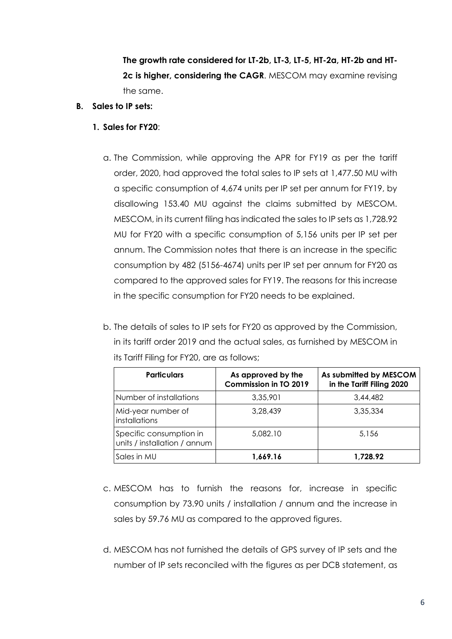**The growth rate considered for LT-2b, LT-3, LT-5, HT-2a, HT-2b and HT-2c is higher, considering the CAGR**. MESCOM may examine revising the same.

- **B. Sales to IP sets:**
	- **1. Sales for FY20**:
		- a. The Commission, while approving the APR for FY19 as per the tariff order, 2020, had approved the total sales to IP sets at 1,477.50 MU with a specific consumption of 4,674 units per IP set per annum for FY19, by disallowing 153.40 MU against the claims submitted by MESCOM. MESCOM, in its current filing has indicated the sales to IP sets as 1,728.92 MU for FY20 with a specific consumption of 5,156 units per IP set per annum. The Commission notes that there is an increase in the specific consumption by 482 (5156-4674) units per IP set per annum for FY20 as compared to the approved sales for FY19. The reasons for this increase in the specific consumption for FY20 needs to be explained.
		- b. The details of sales to IP sets for FY20 as approved by the Commission, in its tariff order 2019 and the actual sales, as furnished by MESCOM in its Tariff Filing for FY20, are as follows;

| <b>Particulars</b>                                      | As approved by the<br><b>Commission in TO 2019</b> | As submitted by MESCOM<br>in the Tariff Filing 2020 |
|---------------------------------------------------------|----------------------------------------------------|-----------------------------------------------------|
| Number of installations                                 | 3,35,901                                           | 3,44,482                                            |
| Mid-year number of<br>installations                     | 3,28,439                                           | 3.35.334                                            |
| Specific consumption in<br>units / installation / annum | 5,082.10                                           | 5.156                                               |
| Sales in MU                                             | 1,669.16                                           | 1,728.92                                            |

- c. MESCOM has to furnish the reasons for, increase in specific consumption by 73.90 units / installation / annum and the increase in sales by 59.76 MU as compared to the approved figures.
- d. MESCOM has not furnished the details of GPS survey of IP sets and the number of IP sets reconciled with the figures as per DCB statement, as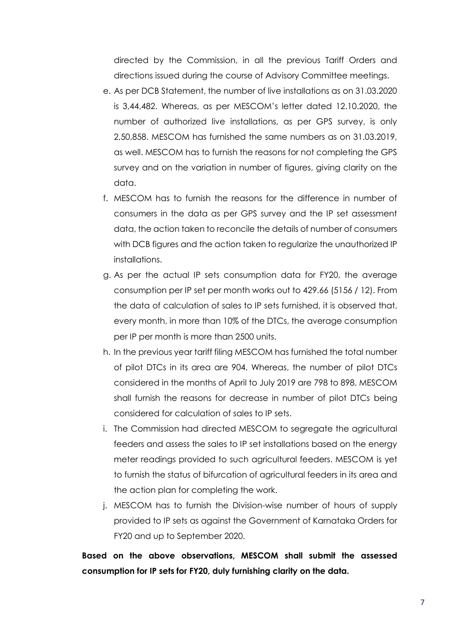directed by the Commission, in all the previous Tariff Orders and directions issued during the course of Advisory Committee meetings.

- e. As per DCB Statement, the number of live installations as on 31.03.2020 is 3,44,482. Whereas, as per MESCOM's letter dated 12.10.2020, the number of authorized live installations, as per GPS survey, is only 2,50,858. MESCOM has furnished the same numbers as on 31.03.2019, as well. MESCOM has to furnish the reasons for not completing the GPS survey and on the variation in number of figures, giving clarity on the data.
- f. MESCOM has to furnish the reasons for the difference in number of consumers in the data as per GPS survey and the IP set assessment data, the action taken to reconcile the details of number of consumers with DCB figures and the action taken to regularize the unauthorized IP installations.
- g. As per the actual IP sets consumption data for FY20, the average consumption per IP set per month works out to 429.66 (5156 / 12). From the data of calculation of sales to IP sets furnished, it is observed that, every month, in more than 10% of the DTCs, the average consumption per IP per month is more than 2500 units.
- h. In the previous year tariff filing MESCOM has furnished the total number of pilot DTCs in its area are 904. Whereas, the number of pilot DTCs considered in the months of April to July 2019 are 798 to 898. MESCOM shall furnish the reasons for decrease in number of pilot DTCs being considered for calculation of sales to IP sets.
- i. The Commission had directed MESCOM to segregate the agricultural feeders and assess the sales to IP set installations based on the energy meter readings provided to such agricultural feeders. MESCOM is yet to furnish the status of bifurcation of agricultural feeders in its area and the action plan for completing the work.
- j. MESCOM has to furnish the Division-wise number of hours of supply provided to IP sets as against the Government of Karnataka Orders for FY20 and up to September 2020.

**Based on the above observations, MESCOM shall submit the assessed consumption for IP sets for FY20, duly furnishing clarity on the data.**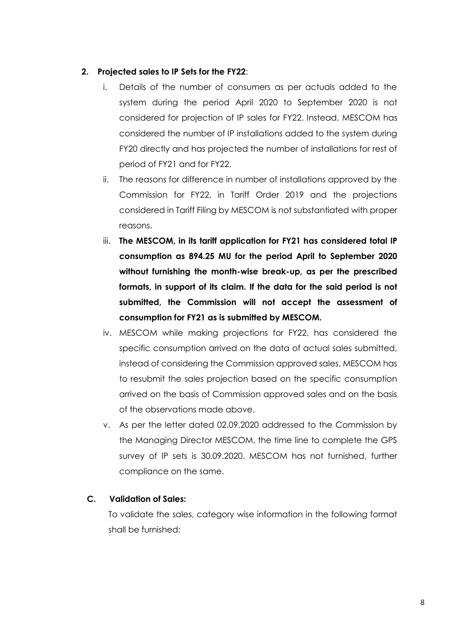### **2. Projected sales to IP Sets for the FY22**:

- i. Details of the number of consumers as per actuals added to the system during the period April 2020 to September 2020 is not considered for projection of IP sales for FY22. Instead, MESCOM has considered the number of IP installations added to the system during FY20 directly and has projected the number of installations for rest of period of FY21 and for FY22.
- ii. The reasons for difference in number of installations approved by the Commission for FY22, in Tariff Order 2019 and the projections considered in Tariff Filing by MESCOM is not substantiated with proper reasons.
- iii. **The MESCOM, in its tariff application for FY21 has considered total IP consumption as 894.25 MU for the period April to September 2020 without furnishing the month-wise break-up, as per the prescribed formats, in support of its claim. If the data for the said period is not submitted, the Commission will not accept the assessment of consumption for FY21 as is submitted by MESCOM.**
- iv. MESCOM while making projections for FY22, has considered the specific consumption arrived on the data of actual sales submitted, instead of considering the Commission approved sales. MESCOM has to resubmit the sales projection based on the specific consumption arrived on the basis of Commission approved sales and on the basis of the observations made above.
- v. As per the letter dated 02.09.2020 addressed to the Commission by the Managing Director MESCOM, the time line to complete the GPS survey of IP sets is 30.09.2020. MESCOM has not furnished, further compliance on the same.

### **C. Validation of Sales:**

To validate the sales, category wise information in the following format shall be furnished: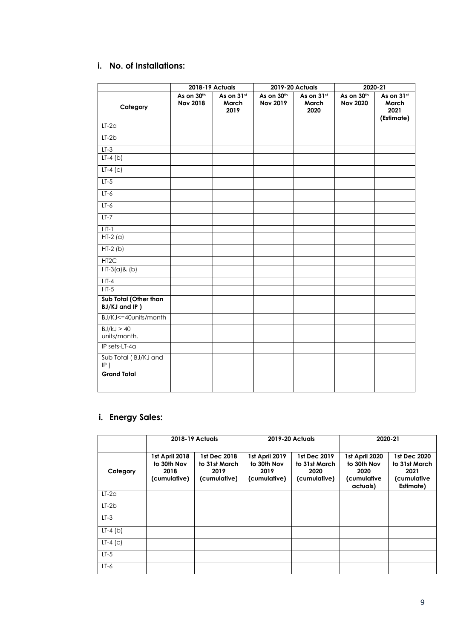## **i. No. of Installations:**

|                                        | 2018-19 Actuals               |                             |                               | 2019-20 Actuals             | 2020-21                       |                                           |
|----------------------------------------|-------------------------------|-----------------------------|-------------------------------|-----------------------------|-------------------------------|-------------------------------------------|
| Category                               | As on 30th<br><b>Nov 2018</b> | As on 31st<br>March<br>2019 | As on 30th<br><b>Nov 2019</b> | As on 31st<br>March<br>2020 | As on 30th<br><b>Nov 2020</b> | As on 31st<br>March<br>2021<br>(Estimate) |
| $LT-2a$                                |                               |                             |                               |                             |                               |                                           |
| $LT-2b$                                |                               |                             |                               |                             |                               |                                           |
| $LT-3$                                 |                               |                             |                               |                             |                               |                                           |
| $LT-4$ (b)                             |                               |                             |                               |                             |                               |                                           |
| $LT-4$ (c)                             |                               |                             |                               |                             |                               |                                           |
| $LT-5$                                 |                               |                             |                               |                             |                               |                                           |
| $LT-6$                                 |                               |                             |                               |                             |                               |                                           |
| $LT-6$                                 |                               |                             |                               |                             |                               |                                           |
| $LT-7$                                 |                               |                             |                               |                             |                               |                                           |
| $HT-1$                                 |                               |                             |                               |                             |                               |                                           |
| $HT-2(a)$                              |                               |                             |                               |                             |                               |                                           |
| $HT-2(b)$                              |                               |                             |                               |                             |                               |                                           |
| HT <sub>2</sub> C                      |                               |                             |                               |                             |                               |                                           |
| $HT-3(a)$ & (b)                        |                               |                             |                               |                             |                               |                                           |
| $HT-4$                                 |                               |                             |                               |                             |                               |                                           |
| $HT-5$                                 |                               |                             |                               |                             |                               |                                           |
| Sub Total (Other than<br>BJ/KJ and IP) |                               |                             |                               |                             |                               |                                           |
| BJ/KJ<=40units/month                   |                               |                             |                               |                             |                               |                                           |
| BJ/kJ > 40<br>units/month.             |                               |                             |                               |                             |                               |                                           |
| IP sets-LT-4a                          |                               |                             |                               |                             |                               |                                           |
| Sub Total (BJ/KJ and<br>$IP$ )         |                               |                             |                               |                             |                               |                                           |
| <b>Grand Total</b>                     |                               |                             |                               |                             |                               |                                           |
|                                        |                               |                             |                               |                             |                               |                                           |

## **i. Energy Sales:**

|            |                                                       | <b>2018-19 Actuals</b>                                |                                                       | <b>2019-20 Actuals</b>                                | 2020-21                                                          |                                                                   |  |
|------------|-------------------------------------------------------|-------------------------------------------------------|-------------------------------------------------------|-------------------------------------------------------|------------------------------------------------------------------|-------------------------------------------------------------------|--|
| Category   | 1st April 2018<br>to 30th Nov<br>2018<br>(cumulative) | 1st Dec 2018<br>to 31st March<br>2019<br>(cumulative) | 1st April 2019<br>to 30th Nov<br>2019<br>(cumulative) | 1st Dec 2019<br>to 31st March<br>2020<br>(cumulative) | 1st April 2020<br>to 30th Nov<br>2020<br>(cumulative<br>actuals) | 1st Dec 2020<br>to 31st March<br>2021<br>(cumulative<br>Estimate) |  |
| $LT-2a$    |                                                       |                                                       |                                                       |                                                       |                                                                  |                                                                   |  |
| $LT-2b$    |                                                       |                                                       |                                                       |                                                       |                                                                  |                                                                   |  |
| $LT-3$     |                                                       |                                                       |                                                       |                                                       |                                                                  |                                                                   |  |
| $LT-4$ (b) |                                                       |                                                       |                                                       |                                                       |                                                                  |                                                                   |  |
| $LT-4$ (c) |                                                       |                                                       |                                                       |                                                       |                                                                  |                                                                   |  |
| $LT-5$     |                                                       |                                                       |                                                       |                                                       |                                                                  |                                                                   |  |
| $LT-6$     |                                                       |                                                       |                                                       |                                                       |                                                                  |                                                                   |  |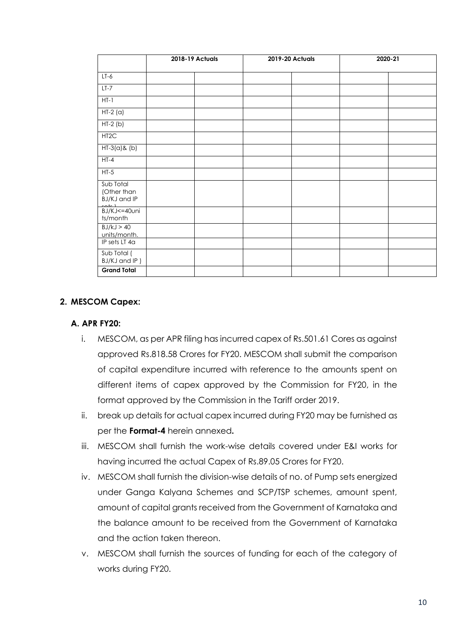|                                                   | 2018-19 Actuals | 2019-20 Actuals | 2020-21 |
|---------------------------------------------------|-----------------|-----------------|---------|
| $LT-6$                                            |                 |                 |         |
| $LT-7$                                            |                 |                 |         |
| $HT-1$                                            |                 |                 |         |
| $HT-2(a)$                                         |                 |                 |         |
| $HT-2(b)$                                         |                 |                 |         |
| HT <sub>2</sub> C                                 |                 |                 |         |
| $HT-3(a)$ & (b)                                   |                 |                 |         |
| $HT-4$                                            |                 |                 |         |
| $HT-5$                                            |                 |                 |         |
| Sub Total<br>(Other than<br>BJ/KJ and IP<br>- 1-1 |                 |                 |         |
| BJ/KJ <= 40uni<br>ts/month                        |                 |                 |         |
| BJ/kJ > 40<br>units/month.                        |                 |                 |         |
| IP sets LT 4a                                     |                 |                 |         |
| Sub Total (<br>BJ/KJ and IP)                      |                 |                 |         |
| <b>Grand Total</b>                                |                 |                 |         |

### **2. MESCOM Capex:**

### **A. APR FY20:**

- i. MESCOM, as per APR filing has incurred capex of Rs.501.61 Cores as against approved Rs.818.58 Crores for FY20. MESCOM shall submit the comparison of capital expenditure incurred with reference to the amounts spent on different items of capex approved by the Commission for FY20, in the format approved by the Commission in the Tariff order 2019.
- ii. break up details for actual capex incurred during FY20 may be furnished as per the **Format-4** herein annexed**.**
- iii. MESCOM shall furnish the work-wise details covered under E&I works for having incurred the actual Capex of Rs.89.05 Crores for FY20.
- iv. MESCOM shall furnish the division-wise details of no. of Pump sets energized under Ganga Kalyana Schemes and SCP/TSP schemes, amount spent, amount of capital grants received from the Government of Karnataka and the balance amount to be received from the Government of Karnataka and the action taken thereon.
- v. MESCOM shall furnish the sources of funding for each of the category of works during FY20.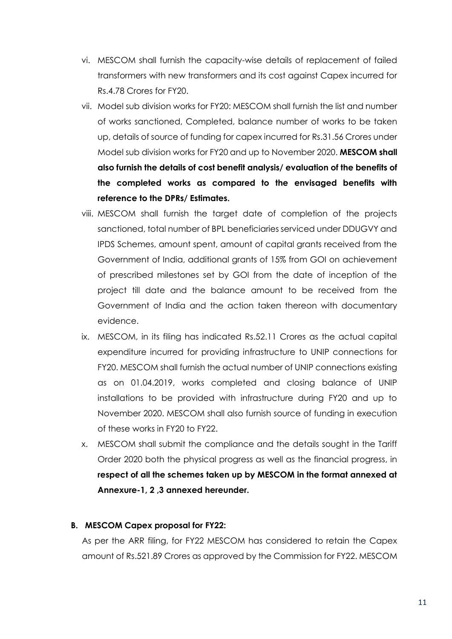- vi. MESCOM shall furnish the capacity-wise details of replacement of failed transformers with new transformers and its cost against Capex incurred for Rs.4.78 Crores for FY20.
- vii. Model sub division works for FY20: MESCOM shall furnish the list and number of works sanctioned, Completed, balance number of works to be taken up, details of source of funding for capex incurred for Rs.31.56 Crores under Model sub division works for FY20 and up to November 2020. **MESCOM shall also furnish the details of cost benefit analysis/ evaluation of the benefits of the completed works as compared to the envisaged benefits with reference to the DPRs/ Estimates.**
- viii. MESCOM shall furnish the target date of completion of the projects sanctioned, total number of BPL beneficiaries serviced under DDUGVY and IPDS Schemes, amount spent, amount of capital grants received from the Government of India, additional grants of 15% from GOI on achievement of prescribed milestones set by GOI from the date of inception of the project till date and the balance amount to be received from the Government of India and the action taken thereon with documentary evidence.
- ix. MESCOM, in its filing has indicated Rs.52.11 Crores as the actual capital expenditure incurred for providing infrastructure to UNIP connections for FY20. MESCOM shall furnish the actual number of UNIP connections existing as on 01.04.2019, works completed and closing balance of UNIP installations to be provided with infrastructure during FY20 and up to November 2020. MESCOM shall also furnish source of funding in execution of these works in FY20 to FY22.
- x. MESCOM shall submit the compliance and the details sought in the Tariff Order 2020 both the physical progress as well as the financial progress, in **respect of all the schemes taken up by MESCOM in the format annexed at Annexure-1, 2 ,3 annexed hereunder.**

### **B. MESCOM Capex proposal for FY22:**

As per the ARR filing, for FY22 MESCOM has considered to retain the Capex amount of Rs.521.89 Crores as approved by the Commission for FY22. MESCOM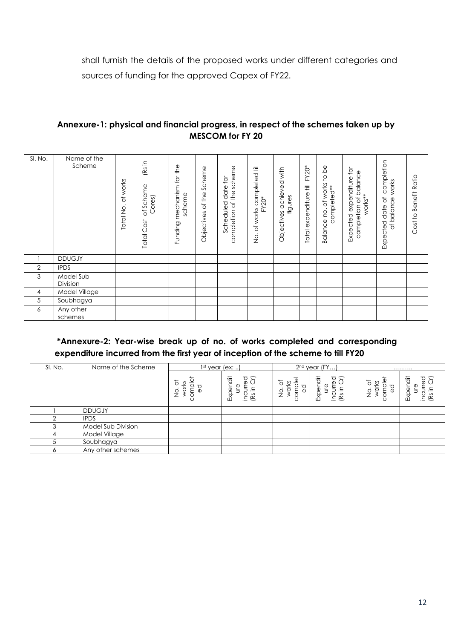shall furnish the details of the proposed works under different categories and sources of funding for the approved Capex of FY22.

### **Annexure-1: physical and financial progress, in respect of the schemes taken up by MESCOM for FY 20**

| SI. No. | Name of the<br>Scheme | of works<br>Total No. | (Rs in<br>of Scheme<br>Cores)<br><b>Total Cost</b> | Funding mechanism for the<br>scheme | Scheme<br>of the<br>Objectives | completion of the scheme<br>$\tilde{\mathsf{Q}}$<br>$dot$ e<br>Scheduled | ₹<br>completed<br>FY20*<br>of works<br>$\frac{\dot{\rm Q}}{\Sigma}$ | Objectives achieved with<br>figures | FY20*<br>Total expenditure till | Balance no. of works to be<br>completed** | Expected expenditure for<br>completion of balance<br>works** | completion<br>works<br>ð<br>of balance<br>Expected date | Cost to Benefit Ratio |
|---------|-----------------------|-----------------------|----------------------------------------------------|-------------------------------------|--------------------------------|--------------------------------------------------------------------------|---------------------------------------------------------------------|-------------------------------------|---------------------------------|-------------------------------------------|--------------------------------------------------------------|---------------------------------------------------------|-----------------------|
|         | <b>DDUGJY</b>         |                       |                                                    |                                     |                                |                                                                          |                                                                     |                                     |                                 |                                           |                                                              |                                                         |                       |
| 2       | <b>IPDS</b>           |                       |                                                    |                                     |                                |                                                                          |                                                                     |                                     |                                 |                                           |                                                              |                                                         |                       |
| 3       | Model Sub<br>Division |                       |                                                    |                                     |                                |                                                                          |                                                                     |                                     |                                 |                                           |                                                              |                                                         |                       |
| 4       | Model Village         |                       |                                                    |                                     |                                |                                                                          |                                                                     |                                     |                                 |                                           |                                                              |                                                         |                       |
| 5       | Soubhagya             |                       |                                                    |                                     |                                |                                                                          |                                                                     |                                     |                                 |                                           |                                                              |                                                         |                       |
| 6       | Any other<br>schemes  |                       |                                                    |                                     |                                |                                                                          |                                                                     |                                     |                                 |                                           |                                                              |                                                         |                       |

### **\*Annexure-2: Year-wise break up of no. of works completed and corresponding expenditure incurred from the first year of inception of the scheme to till FY20**

| SI. No.  | Name of the Scheme | 1st year (ex: )                            |                                                             |                                                           | $2nd$ year (FY                                                                | .                                                                                                              |                               |
|----------|--------------------|--------------------------------------------|-------------------------------------------------------------|-----------------------------------------------------------|-------------------------------------------------------------------------------|----------------------------------------------------------------------------------------------------------------|-------------------------------|
|          |                    | Φ<br>৳<br>೨<br>ŏ<br>o<br>Z<br>J<br>$\circ$ | Expendit<br>$\overline{g}$ $\overline{G}$<br>Φ<br>Ĕ<br>'E & | ₾<br>ъ<br>೮<br>≚<br>ō<br>≷<br>o<br>Z<br>Φ<br>≻<br>$\circ$ | Expendit<br>$\overline{g}$ $\overline{G}$<br>Ψ<br>$\frac{1}{2}$ $\frac{1}{2}$ | omplet<br>$\overline{\circ}$ .<br>works<br>$\sigma$<br>$\frac{\dot{\rm Q}}{\Sigma}$<br>$\bar{\Phi}$<br>$\circ$ | Expendit<br>9 T<br>ω<br>ັ∈ ຮົ |
|          | <b>DDUGJY</b>      |                                            |                                                             |                                                           |                                                                               |                                                                                                                |                               |
| $\Omega$ | <b>IPDS</b>        |                                            |                                                             |                                                           |                                                                               |                                                                                                                |                               |
| 3        | Model Sub Division |                                            |                                                             |                                                           |                                                                               |                                                                                                                |                               |
|          | Model Village      |                                            |                                                             |                                                           |                                                                               |                                                                                                                |                               |
|          | Soubhagya          |                                            |                                                             |                                                           |                                                                               |                                                                                                                |                               |
| Ô        | Any other schemes  |                                            |                                                             |                                                           |                                                                               |                                                                                                                |                               |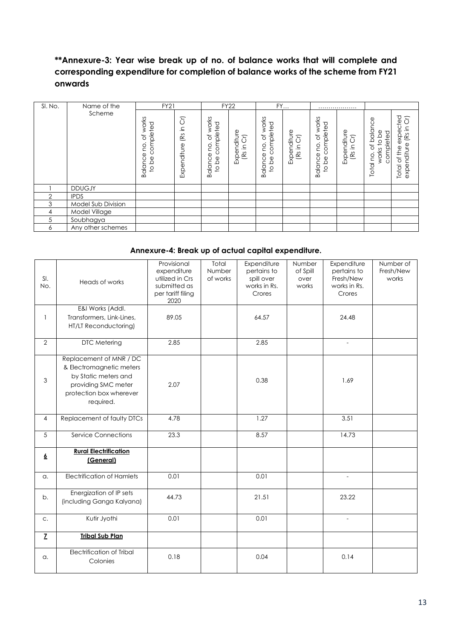## **\*\*Annexure-3: Year wise break up of no. of balance works that will complete and corresponding expenditure for completion of balance works of the scheme from FY21 onwards**

| SI. No. | Name of the        | <b>FY21</b>                                      |                               |                                                                                            | <b>FY22</b>                            |                                                 | FY                                         |                                                                                                                             | .                                      |                                                                                        |                                                                                 |
|---------|--------------------|--------------------------------------------------|-------------------------------|--------------------------------------------------------------------------------------------|----------------------------------------|-------------------------------------------------|--------------------------------------------|-----------------------------------------------------------------------------------------------------------------------------|----------------------------------------|----------------------------------------------------------------------------------------|---------------------------------------------------------------------------------|
|         | Scheme             | works<br>completed<br>ð<br>ë<br>Balance<br>to be | δ<br>⊇.<br>(Rs<br>Expenditure | works<br>completed<br>$\rm 5$<br>$\bullet$<br><b>DO</b><br>Balance<br>9q<br>$\overline{c}$ | Expenditure<br>T<br>$\subseteq$<br>(Rs | of works<br>completed<br>ë,<br>Balance<br>to be | Expenditure<br>$\overline{5}$<br>⊇.<br>(Rs | works<br>npleted<br>$\overline{\circ}$<br>δñ<br><b>DU</b><br>$\circ$<br>Ф<br>$\frac{1}{\alpha}$<br>Balanc<br>$\overline{c}$ | Expenditure<br>5<br>$\subseteq$<br>(Rs | balance<br>completed<br>9q<br>$\overline{0}$<br>$\rm \breve{o}$<br>works<br>œ<br>Total | ted<br>Ξ<br>ပ<br>⊇.<br>Φ<br>(Rs<br>exp<br>nditure<br>the<br>ð<br>exper<br>Total |
|         | <b>DDUGJY</b>      |                                                  |                               |                                                                                            |                                        |                                                 |                                            |                                                                                                                             |                                        |                                                                                        |                                                                                 |
| 2       | <b>IPDS</b>        |                                                  |                               |                                                                                            |                                        |                                                 |                                            |                                                                                                                             |                                        |                                                                                        |                                                                                 |
| 3       | Model Sub Division |                                                  |                               |                                                                                            |                                        |                                                 |                                            |                                                                                                                             |                                        |                                                                                        |                                                                                 |
| 4       | Model Village      |                                                  |                               |                                                                                            |                                        |                                                 |                                            |                                                                                                                             |                                        |                                                                                        |                                                                                 |
| 5       | Soubhagya          |                                                  |                               |                                                                                            |                                        |                                                 |                                            |                                                                                                                             |                                        |                                                                                        |                                                                                 |
| 6       | Any other schemes  |                                                  |                               |                                                                                            |                                        |                                                 |                                            |                                                                                                                             |                                        |                                                                                        |                                                                                 |

### **Annexure-4: Break up of actual capital expenditure.**

| SI.<br>No.     | Heads of works                                                                                                                             | Provisional<br>expenditure<br>utilized in Crs<br>submitted as<br>per tariff filing<br>2020 | Total<br>Number<br>of works | Expenditure<br>pertains to<br>spill over<br>works in Rs.<br>Crores | Number<br>of Spill<br>over<br>works | Expenditure<br>pertains to<br>Fresh/New<br>works in Rs.<br>Crores | Number of<br>Fresh/New<br>works |
|----------------|--------------------------------------------------------------------------------------------------------------------------------------------|--------------------------------------------------------------------------------------------|-----------------------------|--------------------------------------------------------------------|-------------------------------------|-------------------------------------------------------------------|---------------------------------|
| $\mathbf{1}$   | E&I Works (Addl.<br>Transformers, Link-Lines,<br>HT/LT Reconductoring)                                                                     | 89.05                                                                                      |                             | 64.57                                                              |                                     | 24.48                                                             |                                 |
| $\overline{2}$ | DTC Metering                                                                                                                               | 2.85                                                                                       |                             | 2.85                                                               |                                     | $\overline{\phantom{a}}$                                          |                                 |
| $\mathsf 3$    | Replacement of MNR / DC<br>& Electromagnetic meters<br>by Static meters and<br>providing SMC meter<br>protection box wherever<br>required. | 2.07                                                                                       |                             | 0.38                                                               |                                     | 1.69                                                              |                                 |
| $\overline{4}$ | Replacement of faulty DTCs                                                                                                                 | 4.78                                                                                       |                             | 1.27                                                               |                                     | 3.51                                                              |                                 |
| 5              | <b>Service Connections</b>                                                                                                                 | 23.3                                                                                       |                             | 8.57                                                               |                                     | 14.73                                                             |                                 |
| $\overline{6}$ | <b>Rural Electrification</b><br>(General)                                                                                                  |                                                                                            |                             |                                                                    |                                     |                                                                   |                                 |
| a.             | <b>Electrification of Hamlets</b>                                                                                                          | 0.01                                                                                       |                             | 0.01                                                               |                                     |                                                                   |                                 |
| b.             | Energization of IP sets<br>(including Ganga Kalyana)                                                                                       | 44.73                                                                                      |                             | 21.51                                                              |                                     | 23.22                                                             |                                 |
| C.             | Kutir Jyothi                                                                                                                               | 0.01                                                                                       |                             | 0.01                                                               |                                     | $\overline{a}$                                                    |                                 |
| $\overline{z}$ | <b>Tribal Sub Plan</b>                                                                                                                     |                                                                                            |                             |                                                                    |                                     |                                                                   |                                 |
| a.             | <b>Electrification of Tribal</b><br>Colonies                                                                                               | 0.18                                                                                       |                             | 0.04                                                               |                                     | 0.14                                                              |                                 |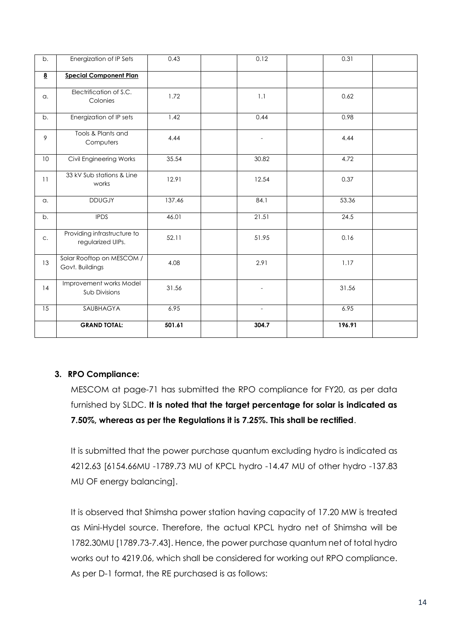| b.                      | Energization of IP Sets                          | 0.43   | 0.12                     | 0.31   |
|-------------------------|--------------------------------------------------|--------|--------------------------|--------|
| $\overline{\mathbf{8}}$ | <b>Special Component Plan</b>                    |        |                          |        |
| a.                      | Electrification of S.C.<br>Colonies              | 1.72   | 1.1                      | 0.62   |
| b.                      | Energization of IP sets                          | 1.42   | 0.44                     | 0.98   |
| 9                       | Tools & Plants and<br>Computers                  | 4.44   | $\overline{\phantom{a}}$ | 4.44   |
| 10                      | Civil Engineering Works                          | 35.54  | 30.82                    | 4.72   |
| 11                      | 33 kV Sub stations & Line<br>works               | 12.91  | 12.54                    | 0.37   |
| a.                      | <b>DDUGJY</b>                                    | 137.46 | 84.1                     | 53.36  |
| b.                      | <b>IPDS</b>                                      | 46.01  | 21.51                    | 24.5   |
| C.                      | Providing infrastructure to<br>regularized UIPs. | 52.11  | 51.95                    | 0.16   |
| 13                      | Solar Rooftop on MESCOM /<br>Govt. Buildings     | 4.08   | 2.91                     | 1.17   |
| 14                      | Improvement works Model<br>Sub Divisions         | 31.56  | $\overline{a}$           | 31.56  |
| 15                      | SAUBHAGYA                                        | 6.95   | $\sim$                   | 6.95   |
|                         | <b>GRAND TOTAL:</b>                              | 501.61 | 304.7                    | 196.91 |

## **3. RPO Compliance:**

MESCOM at page-71 has submitted the RPO compliance for FY20, as per data furnished by SLDC. **It is noted that the target percentage for solar is indicated as 7.50%, whereas as per the Regulations it is 7.25%. This shall be rectified**.

It is submitted that the power purchase quantum excluding hydro is indicated as 4212.63 [6154.66MU -1789.73 MU of KPCL hydro -14.47 MU of other hydro -137.83 MU OF energy balancing].

It is observed that Shimsha power station having capacity of 17.20 MW is treated as Mini-Hydel source. Therefore, the actual KPCL hydro net of Shimsha will be 1782.30MU [1789.73-7.43]. Hence, the power purchase quantum net of total hydro works out to 4219.06, which shall be considered for working out RPO compliance. As per D-1 format, the RE purchased is as follows: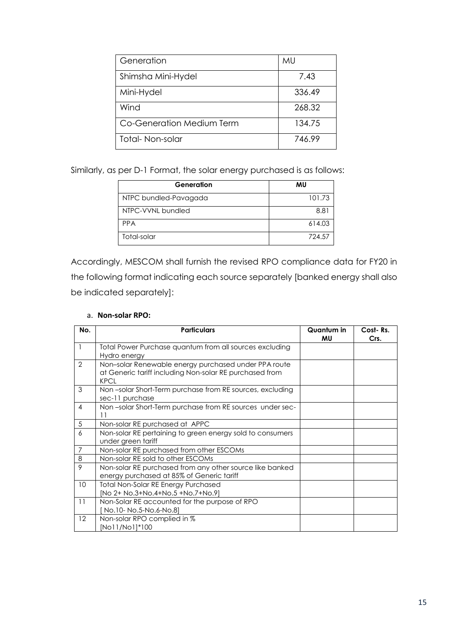| Generation                | MU     |
|---------------------------|--------|
| Shimsha Mini-Hydel        | 7.43   |
| Mini-Hydel                | 336.49 |
| Wind                      | 268.32 |
| Co-Generation Medium Term | 134.75 |
| Total-Non-solar           | 746.99 |

Similarly, as per D-1 Format, the solar energy purchased is as follows:

| Generation            | MU     |
|-----------------------|--------|
| NTPC bundled-Pavagada | 101.73 |
| NTPC-VVNL bundled     | 8.81   |
| <b>PPA</b>            | 614.03 |
| Total-solar           | 724.57 |

Accordingly, MESCOM shall furnish the revised RPO compliance data for FY20 in the following format indicating each source separately [banked energy shall also be indicated separately]:

| No.             | <b>Particulars</b>                                                                                                             | Quantum in<br>MU | Cost-Rs.<br>Crs. |
|-----------------|--------------------------------------------------------------------------------------------------------------------------------|------------------|------------------|
| $\mathbf{1}$    | Total Power Purchase quantum from all sources excluding<br>Hydro energy                                                        |                  |                  |
| $\overline{2}$  | Non-solar Renewable energy purchased under PPA route<br>at Generic tariff including Non-solar RE purchased from<br><b>KPCL</b> |                  |                  |
| 3               | Non-solar Short-Term purchase from RE sources, excluding<br>sec-11 purchase                                                    |                  |                  |
| 4               | Non-solar Short-Term purchase from RE sources under sec-<br>11                                                                 |                  |                  |
| 5               | Non-solar RE purchased at APPC                                                                                                 |                  |                  |
| 6               | Non-solar RE pertaining to green energy sold to consumers<br>under green tariff                                                |                  |                  |
| 7               | Non-solar RE purchased from other ESCOMs                                                                                       |                  |                  |
| 8               | Non-solar RE sold to other ESCOMs                                                                                              |                  |                  |
| 9               | Non-solar RE purchased from any other source like banked<br>energy purchased at 85% of Generic tariff                          |                  |                  |
| 10 <sup>°</sup> | <b>Total Non-Solar RE Energy Purchased</b><br>[No 2+ No.3+No.4+No.5 +No.7+No.9]                                                |                  |                  |
| 11              | Non-Solar RE accounted for the purpose of RPO<br>No.10- No.5-No.6-No.8]                                                        |                  |                  |
| 12              | Non-solar RPO complied in %<br>[No11/No1]*100                                                                                  |                  |                  |

### a. **Non-solar RPO:**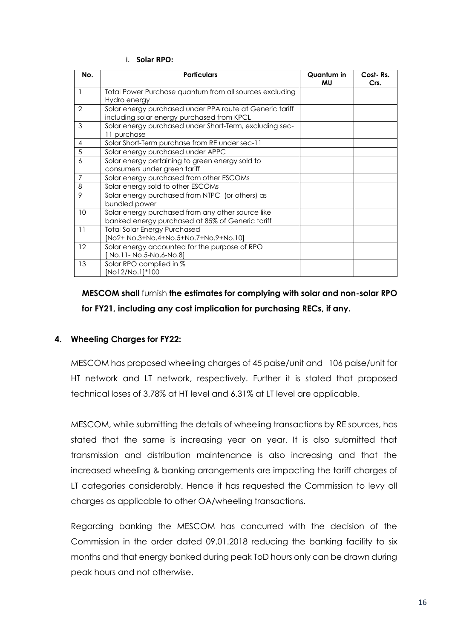|  | <b>Solar RPO:</b> |  |  |  |
|--|-------------------|--|--|--|
|--|-------------------|--|--|--|

| No.             | <b>Particulars</b>                                                                                     | Quantum in<br>MU | Cost-Rs.<br>Crs. |
|-----------------|--------------------------------------------------------------------------------------------------------|------------------|------------------|
| 1               | Total Power Purchase quantum from all sources excluding<br>Hydro energy                                |                  |                  |
| $\overline{2}$  | Solar energy purchased under PPA route at Generic tariff<br>including solar energy purchased from KPCL |                  |                  |
| 3               | Solar energy purchased under Short-Term, excluding sec-<br>11 purchase                                 |                  |                  |
| 4               | Solar Short-Term purchase from RE under sec-11                                                         |                  |                  |
| 5               | Solar energy purchased under APPC                                                                      |                  |                  |
| 6               | Solar energy pertaining to green energy sold to<br>consumers under green tariff                        |                  |                  |
| $\overline{7}$  | Solar energy purchased from other ESCOMs                                                               |                  |                  |
| 8               | Solar energy sold to other ESCOMs                                                                      |                  |                  |
| 9               | Solar energy purchased from NTPC (or others) as<br>bundled power                                       |                  |                  |
| 10 <sup>°</sup> | Solar energy purchased from any other source like<br>banked energy purchased at 85% of Generic tariff  |                  |                  |
| 11              | <b>Total Solar Energy Purchased</b><br>[No2+ No.3+No.4+No.5+No.7+No.9+No.10]                           |                  |                  |
| 12              | Solar energy accounted for the purpose of RPO<br>No.11- No.5-No.6-No.81                                |                  |                  |
| 13              | Solar RPO complied in %<br>[No12/No.1]*100                                                             |                  |                  |

**MESCOM shall** furnish **the estimates for complying with solar and non-solar RPO for FY21, including any cost implication for purchasing RECs, if any.**

### **4. Wheeling Charges for FY22:**

MESCOM has proposed wheeling charges of 45 paise/unit and 106 paise/unit for HT network and LT network, respectively. Further it is stated that proposed technical loses of 3.78% at HT level and 6.31% at LT level are applicable.

MESCOM, while submitting the details of wheeling transactions by RE sources, has stated that the same is increasing year on year. It is also submitted that transmission and distribution maintenance is also increasing and that the increased wheeling & banking arrangements are impacting the tariff charges of LT categories considerably. Hence it has requested the Commission to levy all charges as applicable to other OA/wheeling transactions.

Regarding banking the MESCOM has concurred with the decision of the Commission in the order dated 09.01.2018 reducing the banking facility to six months and that energy banked during peak ToD hours only can be drawn during peak hours and not otherwise.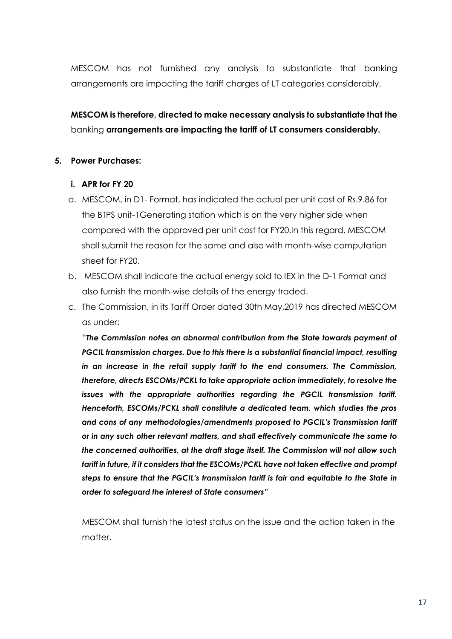MESCOM has not furnished any analysis to substantiate that banking arrangements are impacting the tariff charges of LT categories considerably.

# **MESCOM is therefore, directed to make necessary analysis to substantiate that the** banking **arrangements are impacting the tariff of LT consumers considerably.**

### **5. Power Purchases:**

### **i. APR for FY 20**

- a. MESCOM, in D1- Format, has indicated the actual per unit cost of Rs.9.86 for the BTPS unit-1Generating station which is on the very higher side when compared with the approved per unit cost for FY20.In this regard, MESCOM shall submit the reason for the same and also with month-wise computation sheet for FY20.
- b. MESCOM shall indicate the actual energy sold to IEX in the D-1 Format and also furnish the month-wise details of the energy traded.
- c. The Commission, in its Tariff Order dated 30th May,2019 has directed MESCOM as under:

"*The Commission notes an abnormal contribution from the State towards payment of PGCIL transmission charges. Due to this there is a substantial financial impact, resulting in an increase in the retail supply tariff to the end consumers. The Commission, therefore, directs ESCOMs/PCKL to take appropriate action immediately, to resolve the issues with the appropriate authorities regarding the PGCIL transmission tariff. Henceforth, ESCOMs/PCKL shall constitute a dedicated team, which studies the pros and cons of any methodologies/amendments proposed to PGCIL's Transmission tariff or in any such other relevant matters, and shall effectively communicate the same to the concerned authorities, at the draft stage itself. The Commission will not allow such tariff in future, if it considers that the ESCOMs/PCKL have not taken effective and prompt steps to ensure that the PGCIL's transmission tariff is fair and equitable to the State in order to safeguard the interest of State consumers"* 

MESCOM shall furnish the latest status on the issue and the action taken in the matter.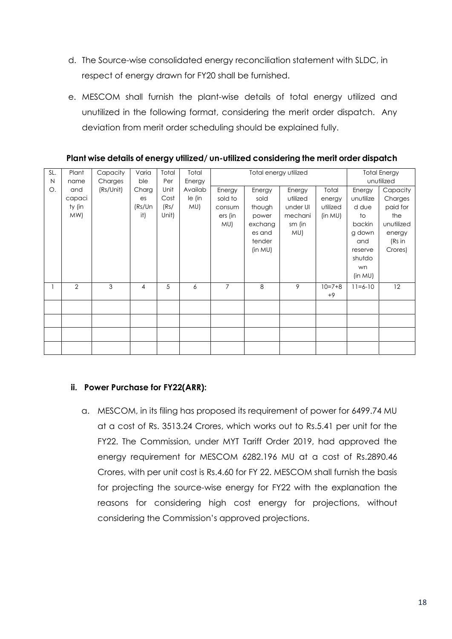- d. The Source-wise consolidated energy reconciliation statement with SLDC, in respect of energy drawn for FY20 shall be furnished.
- e. MESCOM shall furnish the plant-wise details of total energy utilized and unutilized in the following format, considering the merit order dispatch. Any deviation from merit order scheduling should be explained fully.

| SL.<br>N | Plant<br>name                  | Capacity<br>Charges | Varia<br>ble                 | Total<br>Per                  | Total                              |                | Total energy utilized |   |                  |               | <b>Total Energy</b><br>unutilized |  |  |  |                                               |                                                                             |                                                            |                                        |                                                                                                     |                                                                                     |
|----------|--------------------------------|---------------------|------------------------------|-------------------------------|------------------------------------|----------------|-----------------------|---|------------------|---------------|-----------------------------------|--|--|--|-----------------------------------------------|-----------------------------------------------------------------------------|------------------------------------------------------------|----------------------------------------|-----------------------------------------------------------------------------------------------------|-------------------------------------------------------------------------------------|
| О.       | and<br>capaci<br>ty (in<br>MW) | (Rs/Unit)           | Charg<br>es<br>(Rs/Un<br>it) | Unit<br>Cost<br>(Rs/<br>Unit) | Energy<br>Availab<br>le (in<br>MU) |                |                       |   |                  |               |                                   |  |  |  | Energy<br>sold to<br>consum<br>ers (in<br>MU) | Energy<br>sold<br>though<br>power<br>exchang<br>es and<br>tender<br>(in MU) | Energy<br>utilized<br>under UI<br>mechani<br>sm (in<br>MU) | Total<br>energy<br>utilized<br>(in MU) | Energy<br>unutilize<br>d due<br>to<br>backin<br>g down<br>and<br>reserve<br>shutdo<br>wn<br>(in MU) | Capacity<br>Charges<br>paid for<br>the<br>unutilized<br>energy<br>(Rs in<br>Crores) |
|          | 2                              | 3                   | 4                            | 5                             | 6                                  | $\overline{7}$ | 8                     | 9 | $10=7+8$<br>$+9$ | $11 = 6 - 10$ | 12                                |  |  |  |                                               |                                                                             |                                                            |                                        |                                                                                                     |                                                                                     |
|          |                                |                     |                              |                               |                                    |                |                       |   |                  |               |                                   |  |  |  |                                               |                                                                             |                                                            |                                        |                                                                                                     |                                                                                     |
|          |                                |                     |                              |                               |                                    |                |                       |   |                  |               |                                   |  |  |  |                                               |                                                                             |                                                            |                                        |                                                                                                     |                                                                                     |
|          |                                |                     |                              |                               |                                    |                |                       |   |                  |               |                                   |  |  |  |                                               |                                                                             |                                                            |                                        |                                                                                                     |                                                                                     |
|          |                                |                     |                              |                               |                                    |                |                       |   |                  |               |                                   |  |  |  |                                               |                                                                             |                                                            |                                        |                                                                                                     |                                                                                     |

### **Plant wise details of energy utilized/ un-utilized considering the merit order dispatch**

### **ii. Power Purchase for FY22(ARR):**

a. MESCOM, in its filing has proposed its requirement of power for 6499.74 MU at a cost of Rs. 3513.24 Crores, which works out to Rs.5.41 per unit for the FY22. The Commission, under MYT Tariff Order 2019, had approved the energy requirement for MESCOM 6282.196 MU at a cost of Rs.2890.46 Crores, with per unit cost is Rs.4.60 for FY 22. MESCOM shall furnish the basis for projecting the source-wise energy for FY22 with the explanation the reasons for considering high cost energy for projections, without considering the Commission's approved projections.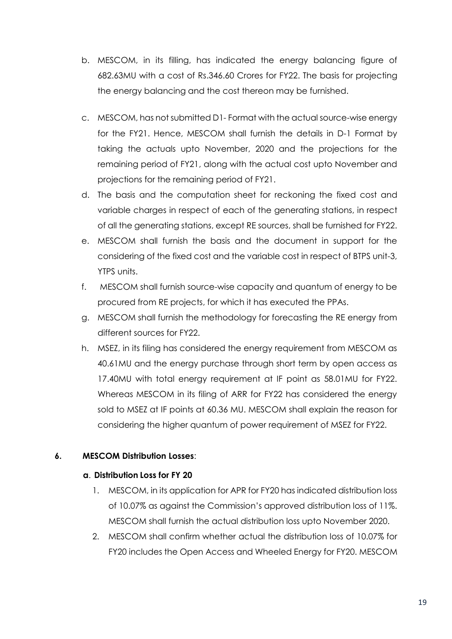- b. MESCOM, in its filling, has indicated the energy balancing figure of 682.63MU with a cost of Rs.346.60 Crores for FY22. The basis for projecting the energy balancing and the cost thereon may be furnished.
- c. MESCOM, has not submitted D1- Format with the actual source-wise energy for the FY21. Hence, MESCOM shall furnish the details in D-1 Format by taking the actuals upto November, 2020 and the projections for the remaining period of FY21, along with the actual cost upto November and projections for the remaining period of FY21.
- d. The basis and the computation sheet for reckoning the fixed cost and variable charges in respect of each of the generating stations, in respect of all the generating stations, except RE sources, shall be furnished for FY22.
- e. MESCOM shall furnish the basis and the document in support for the considering of the fixed cost and the variable cost in respect of BTPS unit-3, YTPS units.
- f. MESCOM shall furnish source-wise capacity and quantum of energy to be procured from RE projects, for which it has executed the PPAs.
- g. MESCOM shall furnish the methodology for forecasting the RE energy from different sources for FY22.
- h. MSEZ, in its filing has considered the energy requirement from MESCOM as 40.61MU and the energy purchase through short term by open access as 17.40MU with total energy requirement at IF point as 58.01MU for FY22. Whereas MESCOM in its filing of ARR for FY22 has considered the energy sold to MSEZ at IF points at 60.36 MU. MESCOM shall explain the reason for considering the higher quantum of power requirement of MSEZ for FY22.

## **6. MESCOM Distribution Losses**:

### **a**. **Distribution Loss for FY 20**

- 1. MESCOM, in its application for APR for FY20 has indicated distribution loss of 10.07% as against the Commission's approved distribution loss of 11%. MESCOM shall furnish the actual distribution loss upto November 2020.
- 2. MESCOM shall confirm whether actual the distribution loss of 10.07% for FY20 includes the Open Access and Wheeled Energy for FY20. MESCOM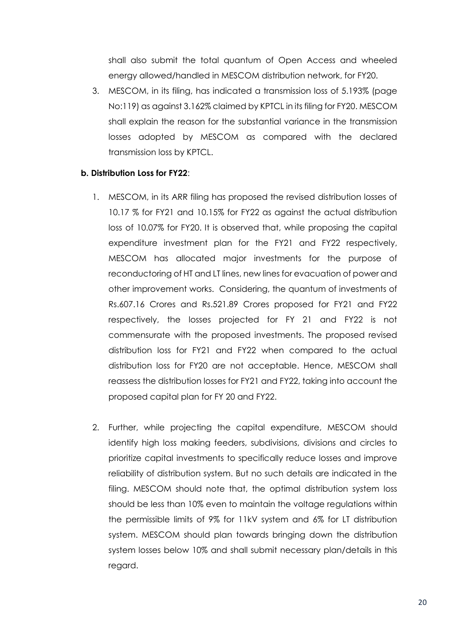shall also submit the total quantum of Open Access and wheeled energy allowed/handled in MESCOM distribution network, for FY20.

3. MESCOM, in its filing, has indicated a transmission loss of 5.193% (page No:119) as against 3.162% claimed by KPTCL in its filing for FY20. MESCOM shall explain the reason for the substantial variance in the transmission losses adopted by MESCOM as compared with the declared transmission loss by KPTCL.

### **b. Distribution Loss for FY22**:

- 1. MESCOM, in its ARR filing has proposed the revised distribution losses of 10.17 % for FY21 and 10.15% for FY22 as against the actual distribution loss of 10.07% for FY20. It is observed that, while proposing the capital expenditure investment plan for the FY21 and FY22 respectively, MESCOM has allocated major investments for the purpose of reconductoring of HT and LT lines, new lines for evacuation of power and other improvement works. Considering, the quantum of investments of Rs.607.16 Crores and Rs.521.89 Crores proposed for FY21 and FY22 respectively, the losses projected for FY 21 and FY22 is not commensurate with the proposed investments. The proposed revised distribution loss for FY21 and FY22 when compared to the actual distribution loss for FY20 are not acceptable. Hence, MESCOM shall reassess the distribution losses for FY21 and FY22, taking into account the proposed capital plan for FY 20 and FY22.
- 2. Further, while projecting the capital expenditure, MESCOM should identify high loss making feeders, subdivisions, divisions and circles to prioritize capital investments to specifically reduce losses and improve reliability of distribution system. But no such details are indicated in the filing. MESCOM should note that, the optimal distribution system loss should be less than 10% even to maintain the voltage regulations within the permissible limits of 9% for 11kV system and 6% for LT distribution system. MESCOM should plan towards bringing down the distribution system losses below 10% and shall submit necessary plan/details in this regard.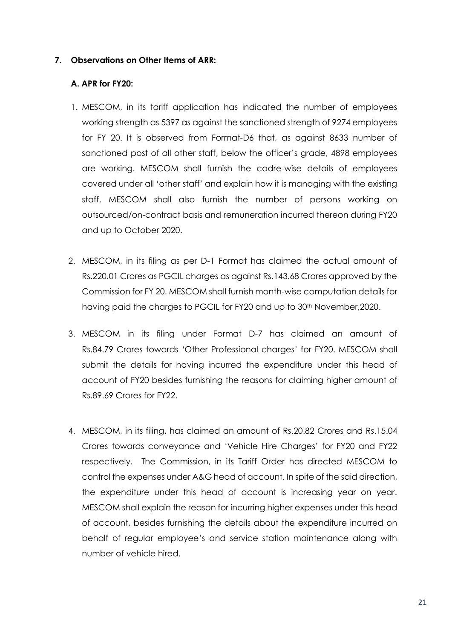### **7. Observations on Other Items of ARR:**

### **A. APR for FY20:**

- 1. MESCOM, in its tariff application has indicated the number of employees working strength as 5397 as against the sanctioned strength of 9274 employees for FY 20. It is observed from Format-D6 that, as against 8633 number of sanctioned post of all other staff, below the officer's grade, 4898 employees are working. MESCOM shall furnish the cadre-wise details of employees covered under all 'other staff' and explain how it is managing with the existing staff. MESCOM shall also furnish the number of persons working on outsourced/on-contract basis and remuneration incurred thereon during FY20 and up to October 2020.
- 2. MESCOM, in its filing as per D-1 Format has claimed the actual amount of Rs.220.01 Crores as PGCIL charges as against Rs.143.68 Crores approved by the Commission for FY 20. MESCOM shall furnish month-wise computation details for having paid the charges to PGCIL for FY20 and up to 30<sup>th</sup> November, 2020.
- 3. MESCOM in its filing under Format D-7 has claimed an amount of Rs.84.79 Crores towards 'Other Professional charges' for FY20. MESCOM shall submit the details for having incurred the expenditure under this head of account of FY20 besides furnishing the reasons for claiming higher amount of Rs.89.69 Crores for FY22.
- 4. MESCOM, in its filing, has claimed an amount of Rs.20.82 Crores and Rs.15.04 Crores towards conveyance and 'Vehicle Hire Charges' for FY20 and FY22 respectively. The Commission, in its Tariff Order has directed MESCOM to control the expenses under A&G head of account. In spite of the said direction, the expenditure under this head of account is increasing year on year. MESCOM shall explain the reason for incurring higher expenses under this head of account, besides furnishing the details about the expenditure incurred on behalf of regular employee's and service station maintenance along with number of vehicle hired.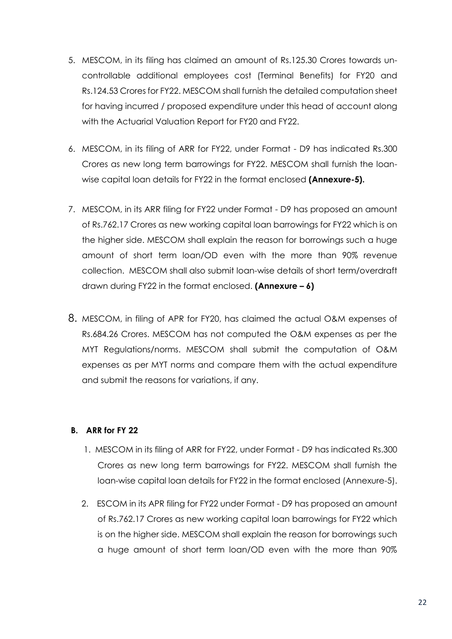- 5. MESCOM, in its filing has claimed an amount of Rs.125.30 Crores towards uncontrollable additional employees cost (Terminal Benefits) for FY20 and Rs.124.53 Crores for FY22. MESCOM shall furnish the detailed computation sheet for having incurred / proposed expenditure under this head of account along with the Actuarial Valuation Report for FY20 and FY22.
- 6. MESCOM, in its filing of ARR for FY22, under Format D9 has indicated Rs.300 Crores as new long term barrowings for FY22. MESCOM shall furnish the loanwise capital loan details for FY22 in the format enclosed **(Annexure-5).**
- 7. MESCOM, in its ARR filing for FY22 under Format D9 has proposed an amount of Rs.762.17 Crores as new working capital loan barrowings for FY22 which is on the higher side. MESCOM shall explain the reason for borrowings such a huge amount of short term loan/OD even with the more than 90% revenue collection. MESCOM shall also submit loan-wise details of short term/overdraft drawn during FY22 in the format enclosed. **(Annexure – 6)**
- 8. MESCOM, in filing of APR for FY20, has claimed the actual O&M expenses of Rs.684.26 Crores. MESCOM has not computed the O&M expenses as per the MYT Regulations/norms. MESCOM shall submit the computation of O&M expenses as per MYT norms and compare them with the actual expenditure and submit the reasons for variations, if any.

### **B. ARR for FY 22**

- 1. MESCOM in its filing of ARR for FY22, under Format D9 has indicated Rs.300 Crores as new long term barrowings for FY22. MESCOM shall furnish the loan-wise capital loan details for FY22 in the format enclosed (Annexure-5).
- 2. ESCOM in its APR filing for FY22 under Format D9 has proposed an amount of Rs.762.17 Crores as new working capital loan barrowings for FY22 which is on the higher side. MESCOM shall explain the reason for borrowings such a huge amount of short term loan/OD even with the more than 90%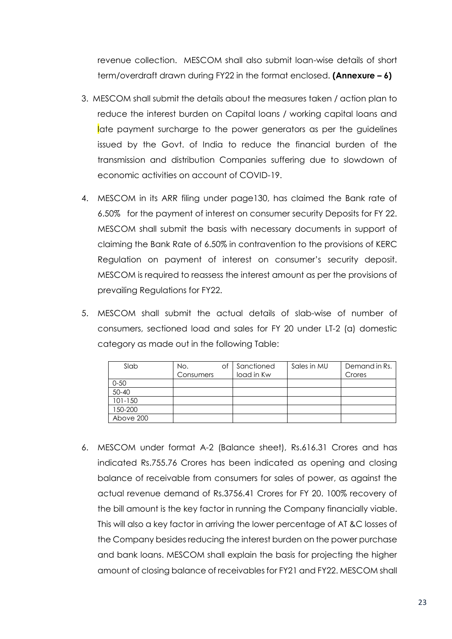revenue collection. MESCOM shall also submit loan-wise details of short term/overdraft drawn during FY22 in the format enclosed. **(Annexure – 6)**

- 3. MESCOM shall submit the details about the measures taken / action plan to reduce the interest burden on Capital loans / working capital loans and late payment surcharge to the power generators as per the guidelines issued by the Govt. of India to reduce the financial burden of the transmission and distribution Companies suffering due to slowdown of economic activities on account of COVID-19.
- 4. MESCOM in its ARR filing under page130, has claimed the Bank rate of 6.50% for the payment of interest on consumer security Deposits for FY 22. MESCOM shall submit the basis with necessary documents in support of claiming the Bank Rate of 6.50% in contravention to the provisions of KERC Regulation on payment of interest on consumer's security deposit. MESCOM is required to reassess the interest amount as per the provisions of prevailing Regulations for FY22.
- 5. MESCOM shall submit the actual details of slab-wise of number of consumers, sectioned load and sales for FY 20 under LT-2 (a) domestic category as made out in the following Table:

| Slab        | No.<br>Consumers | оf | Sanctioned<br>load in Kw | Sales in MU | Demand in Rs.<br>Crores |
|-------------|------------------|----|--------------------------|-------------|-------------------------|
| $0 - 50$    |                  |    |                          |             |                         |
| $50 - 40$   |                  |    |                          |             |                         |
| $101 - 150$ |                  |    |                          |             |                         |
| 150-200     |                  |    |                          |             |                         |
| Above 200   |                  |    |                          |             |                         |

6. MESCOM under format A-2 (Balance sheet), Rs.616.31 Crores and has indicated Rs.755.76 Crores has been indicated as opening and closing balance of receivable from consumers for sales of power, as against the actual revenue demand of Rs.3756.41 Crores for FY 20. 100% recovery of the bill amount is the key factor in running the Company financially viable. This will also a key factor in arriving the lower percentage of AT &C losses of the Company besides reducing the interest burden on the power purchase and bank loans. MESCOM shall explain the basis for projecting the higher amount of closing balance of receivables for FY21 and FY22. MESCOM shall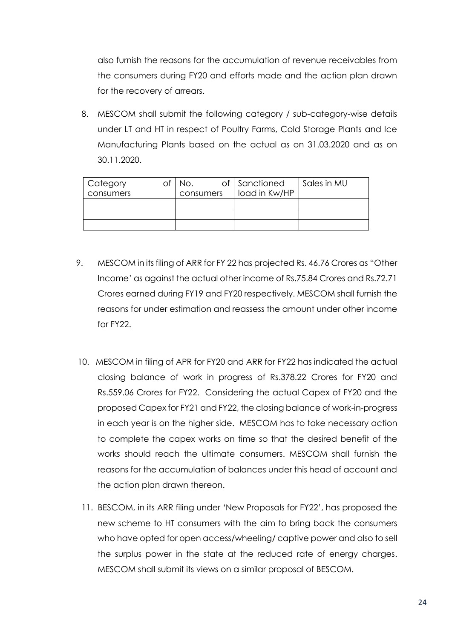also furnish the reasons for the accumulation of revenue receivables from the consumers during FY20 and efforts made and the action plan drawn for the recovery of arrears.

8. MESCOM shall submit the following category / sub-category-wise details under LT and HT in respect of Poultry Farms, Cold Storage Plants and Ice Manufacturing Plants based on the actual as on 31.03.2020 and as on 30.11.2020.

| Category  | NO.       | of Sanctioned | Sales in MU |
|-----------|-----------|---------------|-------------|
| consumers | consumers | load in Kw/HP |             |
|           |           |               |             |
|           |           |               |             |
|           |           |               |             |

- 9. MESCOM in its filing of ARR for FY 22 has projected Rs. 46.76 Crores as "Other Income' as against the actual other income of Rs.75.84 Crores and Rs.72.71 Crores earned during FY19 and FY20 respectively. MESCOM shall furnish the reasons for under estimation and reassess the amount under other income for FY<sub>22</sub>
- 10. MESCOM in filing of APR for FY20 and ARR for FY22 has indicated the actual closing balance of work in progress of Rs.378.22 Crores for FY20 and Rs.559.06 Crores for FY22. Considering the actual Capex of FY20 and the proposed Capex for FY21 and FY22, the closing balance of work-in-progress in each year is on the higher side. MESCOM has to take necessary action to complete the capex works on time so that the desired benefit of the works should reach the ultimate consumers. MESCOM shall furnish the reasons for the accumulation of balances under this head of account and the action plan drawn thereon.
- 11. BESCOM, in its ARR filing under 'New Proposals for FY22', has proposed the new scheme to HT consumers with the aim to bring back the consumers who have opted for open access/wheeling/ captive power and also to sell the surplus power in the state at the reduced rate of energy charges. MESCOM shall submit its views on a similar proposal of BESCOM.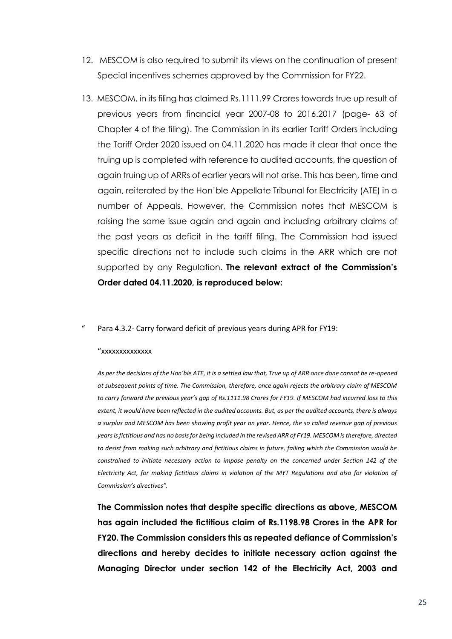- 12. MESCOM is also required to submit its views on the continuation of present Special incentives schemes approved by the Commission for FY22.
- 13. MESCOM, in its filing has claimed Rs.1111.99 Crores towards true up result of previous years from financial year 2007-08 to 2016.2017 (page- 63 of Chapter 4 of the filing). The Commission in its earlier Tariff Orders including the Tariff Order 2020 issued on 04.11.2020 has made it clear that once the truing up is completed with reference to audited accounts, the question of again truing up of ARRs of earlier years will not arise. This has been, time and again, reiterated by the Hon'ble Appellate Tribunal for Electricity (ATE) in a number of Appeals. However, the Commission notes that MESCOM is raising the same issue again and again and including arbitrary claims of the past years as deficit in the tariff filing. The Commission had issued specific directions not to include such claims in the ARR which are not supported by any Regulation. **The relevant extract of the Commission's Order dated 04.11.2020, is reproduced below:**

#### Para 4.3.2- Carry forward deficit of previous years during APR for FY19:

#### "xxxxxxxxxxxxxx

As per the decisions of the Hon'ble ATE, it is a settled law that, True up of ARR once done cannot be re-opened *at subsequent points of time. The Commission, therefore, once again rejects the arbitrary claim of MESCOM*  to carry forward the previous year's gap of Rs.1111.98 Crores for FY19. If MESCOM had incurred loss to this *extent, it would have been reflected in the audited accounts. But, as per the audited accounts, there is always a surplus and MESCOM has been showing profit year on year. Hence, the so called revenue gap of previous years is fictitious and has no basis for being included in the revised ARR of FY19. MESCOM is therefore, directed to desist from making such arbitrary and fictitious claims in future, failing which the Commission would be constrained to initiate necessary action to impose penalty on the concerned under Section 142 of the Electricity Act, for making fictitious claims in violation of the MYT Regulations and also for violation of Commission's directives".*

**The Commission notes that despite specific directions as above, MESCOM has again included the fictitious claim of Rs.1198.98 Crores in the APR for FY20. The Commission considers this as repeated defiance of Commission's directions and hereby decides to initiate necessary action against the Managing Director under section 142 of the Electricity Act, 2003 and**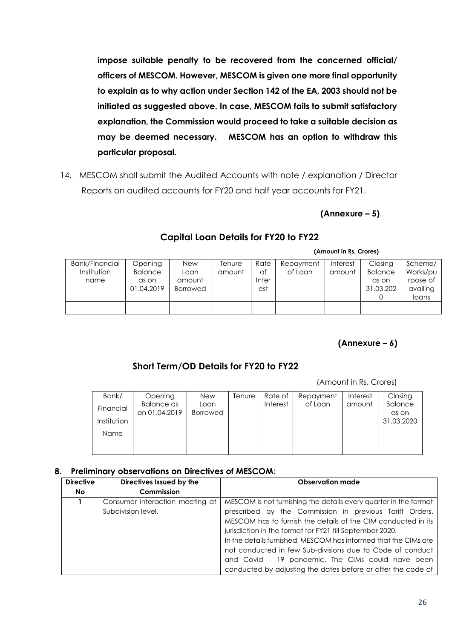**impose suitable penalty to be recovered from the concerned official/ officers of MESCOM. However, MESCOM is given one more final opportunity to explain as to why action under Section 142 of the EA, 2003 should not be initiated as suggested above. In case, MESCOM fails to submit satisfactory explanation, the Commission would proceed to take a suitable decision as may be deemed necessary. MESCOM has an option to withdraw this particular proposal.**

14. MESCOM shall submit the Audited Accounts with note / explanation / Director Reports on audited accounts for FY20 and half year accounts for FY21.

## **(Annexure – 5)**

|                       |                |                 |        |       |           | (Amount in Rs. Crores) |                |          |
|-----------------------|----------------|-----------------|--------|-------|-----------|------------------------|----------------|----------|
| <b>Bank/Financial</b> | Opening        | New             | Tenure | Rate  | Repayment | Interest               | Closing        | Scheme/  |
| Institution           | <b>Balance</b> | Loan            | amount | Οf    | of Loan   | amount                 | <b>Balance</b> | Works/pu |
| name                  | as on          | amount          |        | Inter |           |                        | as on          | rpose of |
|                       | 01.04.2019     | <b>Borrowed</b> |        | est   |           |                        | 31.03.202      | availing |
|                       |                |                 |        |       |           |                        |                | loans    |
|                       |                |                 |        |       |           |                        |                |          |
|                       |                |                 |        |       |           |                        |                |          |

### **Capital Loan Details for FY20 to FY22**

## **(Annexure – 6)**

## **Short Term/OD Details for FY20 to FY22**

(Amount in Rs. Crores)

| Bank/       | Opening       | <b>New</b>      | Tenure | Rate of  | Repayment | Interest | Closing             |
|-------------|---------------|-----------------|--------|----------|-----------|----------|---------------------|
| Financial   | Balance as    | Loan            |        | Interest | of Loan   | amount   | <b>Balance</b>      |
| Institution | on 01.04.2019 | <b>Borrowed</b> |        |          |           |          | as on<br>31.03.2020 |
| <b>Name</b> |               |                 |        |          |           |          |                     |
|             |               |                 |        |          |           |          |                     |
|             |               |                 |        |          |           |          |                     |

### **8. Preliminary observations on Directives of MESCOM**:

| <b>Directive</b> | Directives Issued by the        | <b>Observation made</b>                                          |
|------------------|---------------------------------|------------------------------------------------------------------|
| No.              | Commission                      |                                                                  |
|                  | Consumer interaction meeting at | MESCOM is not furnishing the details every quarter in the format |
|                  | Subdivision level.              | prescribed by the Commission in previous Tariff Orders.          |
|                  |                                 | MESCOM has to furnish the details of the CIM conducted in its    |
|                  |                                 | jurisdiction in the format for FY21 till September 2020.         |
|                  |                                 | In the details furnished, MESCOM has informed that the CIMs are  |
|                  |                                 | not conducted in few Sub-divisions due to Code of conduct        |
|                  |                                 | and Covid - 19 pandemic. The CIMs could have been                |
|                  |                                 | conducted by adjusting the dates before or after the code of     |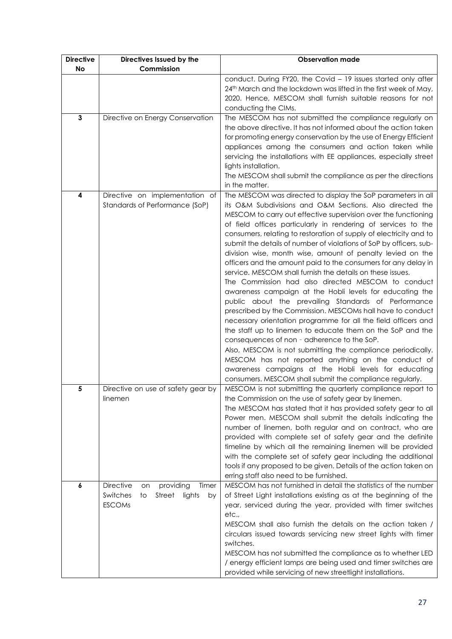| <b>Directive</b> | Directives Issued by the                                                                                  | <b>Observation made</b>                                                                                                                                                                                                                                                                                                                                                                                                                                                                                                                                                                                                                                                                                                                                                                                                                                                                                                                                                                                                                                                                                                                                                                                                                                                 |
|------------------|-----------------------------------------------------------------------------------------------------------|-------------------------------------------------------------------------------------------------------------------------------------------------------------------------------------------------------------------------------------------------------------------------------------------------------------------------------------------------------------------------------------------------------------------------------------------------------------------------------------------------------------------------------------------------------------------------------------------------------------------------------------------------------------------------------------------------------------------------------------------------------------------------------------------------------------------------------------------------------------------------------------------------------------------------------------------------------------------------------------------------------------------------------------------------------------------------------------------------------------------------------------------------------------------------------------------------------------------------------------------------------------------------|
| <b>No</b>        | Commission                                                                                                |                                                                                                                                                                                                                                                                                                                                                                                                                                                                                                                                                                                                                                                                                                                                                                                                                                                                                                                                                                                                                                                                                                                                                                                                                                                                         |
|                  |                                                                                                           | conduct. During FY20, the Covid - 19 issues started only after<br>24th March and the lockdown was lifted in the first week of May,<br>2020. Hence, MESCOM shall furnish suitable reasons for not<br>conducting the CIMs.                                                                                                                                                                                                                                                                                                                                                                                                                                                                                                                                                                                                                                                                                                                                                                                                                                                                                                                                                                                                                                                |
| $\mathbf{3}$     | Directive on Energy Conservation                                                                          | The MESCOM has not submitted the compliance regularly on<br>the above directive. It has not informed about the action taken<br>for promoting energy conservation by the use of Energy Efficient<br>appliances among the consumers and action taken while<br>servicing the installations with EE appliances, especially street<br>lights installation.<br>The MESCOM shall submit the compliance as per the directions                                                                                                                                                                                                                                                                                                                                                                                                                                                                                                                                                                                                                                                                                                                                                                                                                                                   |
|                  |                                                                                                           | in the matter.                                                                                                                                                                                                                                                                                                                                                                                                                                                                                                                                                                                                                                                                                                                                                                                                                                                                                                                                                                                                                                                                                                                                                                                                                                                          |
| 4                | Directive on implementation of<br>Standards of Performance (SoP)                                          | The MESCOM was directed to display the SoP parameters in all<br>its O&M Subdivisions and O&M Sections. Also directed the<br>MESCOM to carry out effective supervision over the functioning<br>of field offices particularly in rendering of services to the<br>consumers, relating to restoration of supply of electricity and to<br>submit the details of number of violations of SoP by officers, sub-<br>division wise, month wise, amount of penalty levied on the<br>officers and the amount paid to the consumers for any delay in<br>service. MESCOM shall furnish the details on these issues.<br>The Commission had also directed MESCOM to conduct<br>awareness campaign at the Hobli levels for educating the<br>public about the prevailing Standards of Performance<br>prescribed by the Commission. MESCOMs hall have to conduct<br>necessary orientation programme for all the field officers and<br>the staff up to linemen to educate them on the SoP and the<br>consequences of non - adherence to the SoP.<br>Also, MESCOM is not submitting the compliance periodically.<br>MESCOM has not reported anything on the conduct of<br>awareness campaigns at the Hobli levels for educating<br>consumers. MESCOM shall submit the compliance regularly. |
| 5                | Directive on use of safety gear by<br>linemen                                                             | MESCOM is not submitting the quarterly compliance report to<br>the Commission on the use of safety gear by linemen.<br>The MESCOM has stated that it has provided safety gear to all<br>Power men. MESCOM shall submit the details indicating the<br>number of linemen, both regular and on contract, who are<br>provided with complete set of safety gear and the definite<br>timeline by which all the remaining linemen will be provided<br>with the complete set of safety gear including the additional<br>tools if any proposed to be given. Details of the action taken on<br>erring staff also need to be furnished.                                                                                                                                                                                                                                                                                                                                                                                                                                                                                                                                                                                                                                            |
| 6                | <b>Directive</b><br>providing<br>Timer<br>on<br>Switches<br>Street<br>lights<br>by<br>to<br><b>ESCOMs</b> | MESCOM has not furnished in detail the statistics of the number<br>of Street Light installations existing as at the beginning of the<br>year, serviced during the year, provided with timer switches<br>etc.,<br>MESCOM shall also furnish the details on the action taken /<br>circulars issued towards servicing new street lights with timer<br>switches.<br>MESCOM has not submitted the compliance as to whether LED<br>/ energy efficient lamps are being used and timer switches are<br>provided while servicing of new streetlight installations.                                                                                                                                                                                                                                                                                                                                                                                                                                                                                                                                                                                                                                                                                                               |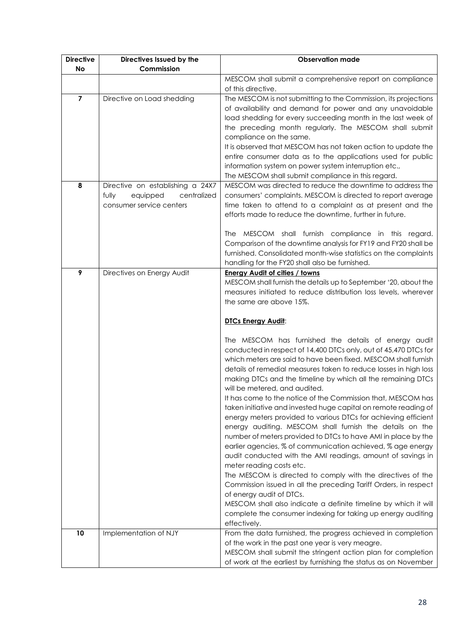| <b>Directive</b> | Directives Issued by the         | <b>Observation made</b>                                                                       |
|------------------|----------------------------------|-----------------------------------------------------------------------------------------------|
| <b>No</b>        | Commission                       |                                                                                               |
|                  |                                  | MESCOM shall submit a comprehensive report on compliance                                      |
|                  |                                  | of this directive.                                                                            |
| $\overline{7}$   | Directive on Load shedding       | The MESCOM is not submitting to the Commission, its projections                               |
|                  |                                  | of availability and demand for power and any unavoidable                                      |
|                  |                                  | load shedding for every succeeding month in the last week of                                  |
|                  |                                  | the preceding month regularly. The MESCOM shall submit                                        |
|                  |                                  | compliance on the same.                                                                       |
|                  |                                  | It is observed that MESCOM has not taken action to update the                                 |
|                  |                                  | entire consumer data as to the applications used for public                                   |
|                  |                                  | information system on power system interruption etc.,                                         |
|                  |                                  | The MESCOM shall submit compliance in this regard.                                            |
| 8                | Directive on establishing a 24X7 | MESCOM was directed to reduce the downtime to address the                                     |
|                  | equipped<br>centralized<br>fully | consumers' complaints. MESCOM is directed to report average                                   |
|                  | consumer service centers         | time taken to attend to a complaint as at present and the                                     |
|                  |                                  | efforts made to reduce the downtime, further in future.                                       |
|                  |                                  | The MESCOM shall furnish compliance in this regard.                                           |
|                  |                                  | Comparison of the downtime analysis for FY19 and FY20 shall be                                |
|                  |                                  | furnished. Consolidated month-wise statistics on the complaints                               |
|                  |                                  | handling for the FY20 shall also be furnished.                                                |
| 9                | Directives on Energy Audit       | <b>Energy Audit of cities / towns</b>                                                         |
|                  |                                  | MESCOM shall furnish the details up to September '20, about the                               |
|                  |                                  | measures initiated to reduce distribution loss levels, wherever                               |
|                  |                                  | the same are above 15%.                                                                       |
|                  |                                  |                                                                                               |
|                  |                                  | <b>DTCs Energy Audit:</b>                                                                     |
|                  |                                  |                                                                                               |
|                  |                                  | The MESCOM has furnished the details of energy audit                                          |
|                  |                                  | conducted in respect of 14,400 DTCs only, out of 45,470 DTCs for                              |
|                  |                                  | which meters are said to have been fixed. MESCOM shall furnish                                |
|                  |                                  | details of remedial measures taken to reduce losses in high loss                              |
|                  |                                  | making DTCs and the timeline by which all the remaining DTCs<br>will be metered, and audited. |
|                  |                                  | It has come to the notice of the Commission that, MESCOM has                                  |
|                  |                                  | taken initiative and invested huge capital on remote reading of                               |
|                  |                                  | energy meters provided to various DTCs for achieving efficient                                |
|                  |                                  | energy auditing. MESCOM shall furnish the details on the                                      |
|                  |                                  | number of meters provided to DTCs to have AMI in place by the                                 |
|                  |                                  | earlier agencies, % of communication achieved, % age energy                                   |
|                  |                                  | audit conducted with the AMI readings, amount of savings in                                   |
|                  |                                  | meter reading costs etc.                                                                      |
|                  |                                  | The MESCOM is directed to comply with the directives of the                                   |
|                  |                                  | Commission issued in all the preceding Tariff Orders, in respect                              |
|                  |                                  | of energy audit of DTCs.                                                                      |
|                  |                                  | MESCOM shall also indicate a definite timeline by which it will                               |
|                  |                                  | complete the consumer indexing for taking up energy auditing                                  |
|                  |                                  | effectively.                                                                                  |
| 10               | Implementation of NJY            | From the data furnished, the progress achieved in completion                                  |
|                  |                                  | of the work in the past one year is very meagre.                                              |
|                  |                                  | MESCOM shall submit the stringent action plan for completion                                  |
|                  |                                  | of work at the earliest by furnishing the status as on November                               |